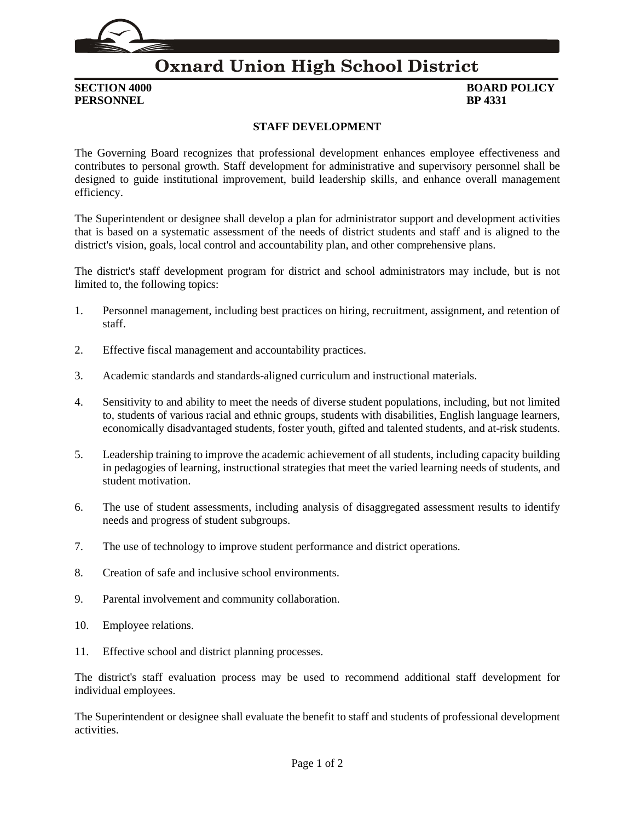

## **Oxnard Union High School District**

**PERSONNEL BP 4331**

## **SECTION 4000 BOARD POLICY**

## **STAFF DEVELOPMENT**

The Governing Board recognizes that professional development enhances employee effectiveness and contributes to personal growth. Staff development for administrative and supervisory personnel shall be designed to guide institutional improvement, build leadership skills, and enhance overall management efficiency.

The Superintendent or designee shall develop a plan for administrator support and development activities that is based on a systematic assessment of the needs of district students and staff and is aligned to the district's vision, goals, local control and accountability plan, and other comprehensive plans.

The district's staff development program for district and school administrators may include, but is not limited to, the following topics:

- 1. Personnel management, including best practices on hiring, recruitment, assignment, and retention of staff.
- 2. Effective fiscal management and accountability practices.
- 3. Academic standards and standards-aligned curriculum and instructional materials.
- 4. Sensitivity to and ability to meet the needs of diverse student populations, including, but not limited to, students of various racial and ethnic groups, students with disabilities, English language learners, economically disadvantaged students, foster youth, gifted and talented students, and at-risk students.
- 5. Leadership training to improve the academic achievement of all students, including capacity building in pedagogies of learning, instructional strategies that meet the varied learning needs of students, and student motivation.
- 6. The use of student assessments, including analysis of disaggregated assessment results to identify needs and progress of student subgroups.
- 7. The use of technology to improve student performance and district operations.
- 8. Creation of safe and inclusive school environments.
- 9. Parental involvement and community collaboration.
- 10. Employee relations.
- 11. Effective school and district planning processes.

The district's staff evaluation process may be used to recommend additional staff development for individual employees.

The Superintendent or designee shall evaluate the benefit to staff and students of professional development activities.